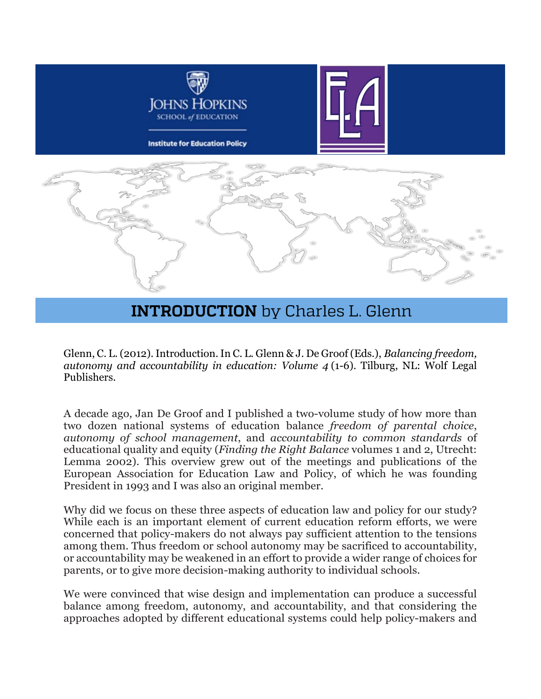

## **INTRODUCTION** by Charles L. Glenn

Glenn, C. L. (2012). Introduction. In C. L. Glenn & J. De Groof (Eds.), *Balancing freedom, autonomy and accountability in education: Volume 4* (1-6). Tilburg, NL: Wolf Legal Publishers.

A decade ago, Jan De Groof and I published a two-volume study of how more than two dozen national systems of education balance *freedom of parental choice*, *autonomy of school management*, and *accountability to common standards* of educational quality and equity (*Finding the Right Balance* volumes 1 and 2, Utrecht: Lemma 2002). This overview grew out of the meetings and publications of the European Association for Education Law and Policy, of which he was founding President in 1993 and I was also an original member.

Why did we focus on these three aspects of education law and policy for our study? While each is an important element of current education reform efforts, we were concerned that policy-makers do not always pay sufficient attention to the tensions among them. Thus freedom or school autonomy may be sacrificed to accountability, or accountability may be weakened in an effort to provide a wider range of choices for parents, or to give more decision-making authority to individual schools.

We were convinced that wise design and implementation can produce a successful balance among freedom, autonomy, and accountability, and that considering the approaches adopted by different educational systems could help policy-makers and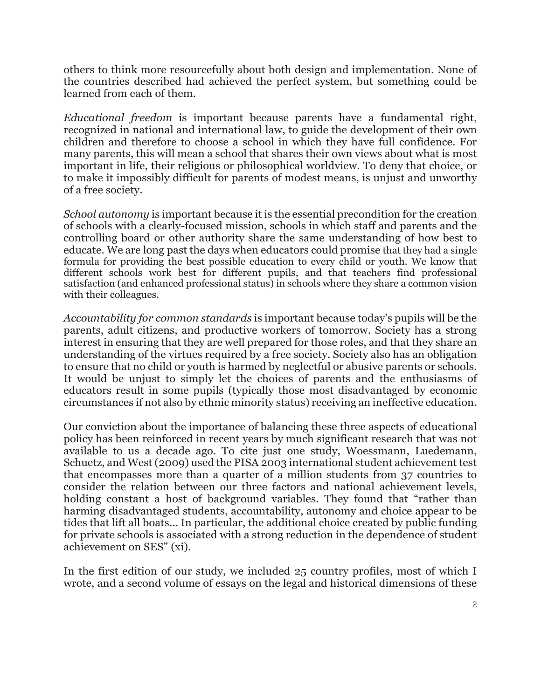others to think more resourcefully about both design and implementation. None of the countries described had achieved the perfect system, but something could be learned from each of them.

*Educational freedom* is important because parents have a fundamental right, recognized in national and international law, to guide the development of their own children and therefore to choose a school in which they have full confidence. For many parents, this will mean a school that shares their own views about what is most important in life, their religious or philosophical worldview. To deny that choice, or to make it impossibly difficult for parents of modest means, is unjust and unworthy of a free society.

*School autonomy* is important because it is the essential precondition for the creation of schools with a clearly-focused mission, schools in which staff and parents and the controlling board or other authority share the same understanding of how best to educate. We are long past the days when educators could promise that they had a single formula for providing the best possible education to every child or youth. We know that different schools work best for different pupils, and that teachers find professional satisfaction (and enhanced professional status) in schools where they share a common vision with their colleagues.

*Accountability for common standards* is important because today's pupils will be the parents, adult citizens, and productive workers of tomorrow. Society has a strong interest in ensuring that they are well prepared for those roles, and that they share an understanding of the virtues required by a free society. Society also has an obligation to ensure that no child or youth is harmed by neglectful or abusive parents or schools. It would be unjust to simply let the choices of parents and the enthusiasms of educators result in some pupils (typically those most disadvantaged by economic circumstances if not also by ethnic minority status) receiving an ineffective education.

Our conviction about the importance of balancing these three aspects of educational policy has been reinforced in recent years by much significant research that was not available to us a decade ago. To cite just one study, Woessmann, Luedemann, Schuetz, and West (2009) used the PISA 2003 international student achievement test that encompasses more than a quarter of a million students from 37 countries to consider the relation between our three factors and national achievement levels, holding constant a host of background variables. They found that "rather than harming disadvantaged students, accountability, autonomy and choice appear to be tides that lift all boats... In particular, the additional choice created by public funding for private schools is associated with a strong reduction in the dependence of student achievement on SES" (xi).

In the first edition of our study, we included 25 country profiles, most of which I wrote, and a second volume of essays on the legal and historical dimensions of these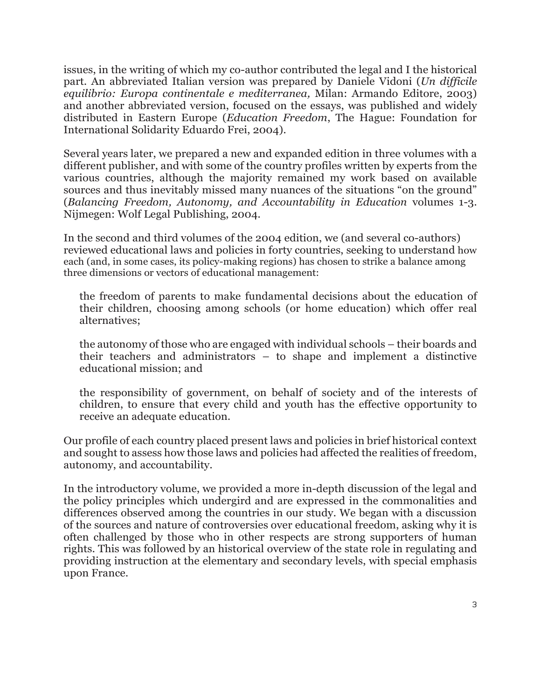issues, in the writing of which my co-author contributed the legal and I the historical part. An abbreviated Italian version was prepared by Daniele Vidoni (*Un difficile equilibrio: Europa continentale e mediterranea,* Milan: Armando Editore, 2003) and another abbreviated version, focused on the essays, was published and widely distributed in Eastern Europe (*Education Freedom*, The Hague: Foundation for International Solidarity Eduardo Frei, 2004).

Several years later, we prepared a new and expanded edition in three volumes with a different publisher, and with some of the country profiles written by experts from the various countries, although the majority remained my work based on available sources and thus inevitably missed many nuances of the situations "on the ground" (*Balancing Freedom, Autonomy, and Accountability in Education* volumes 1-3. Nijmegen: Wolf Legal Publishing, 2004.

In the second and third volumes of the 2004 edition, we (and several co-authors) reviewed educational laws and policies in forty countries, seeking to understand how each (and, in some cases, its policy-making regions) has chosen to strike a balance among three dimensions or vectors of educational management:

the freedom of parents to make fundamental decisions about the education of their children, choosing among schools (or home education) which offer real alternatives;

the autonomy of those who are engaged with individual schools – their boards and their teachers and administrators – to shape and implement a distinctive educational mission; and

the responsibility of government, on behalf of society and of the interests of children, to ensure that every child and youth has the effective opportunity to receive an adequate education.

Our profile of each country placed present laws and policies in brief historical context and sought to assess how those laws and policies had affected the realities of freedom, autonomy, and accountability.

In the introductory volume, we provided a more in-depth discussion of the legal and the policy principles which undergird and are expressed in the commonalities and differences observed among the countries in our study. We began with a discussion of the sources and nature of controversies over educational freedom, asking why it is often challenged by those who in other respects are strong supporters of human rights. This was followed by an historical overview of the state role in regulating and providing instruction at the elementary and secondary levels, with special emphasis upon France.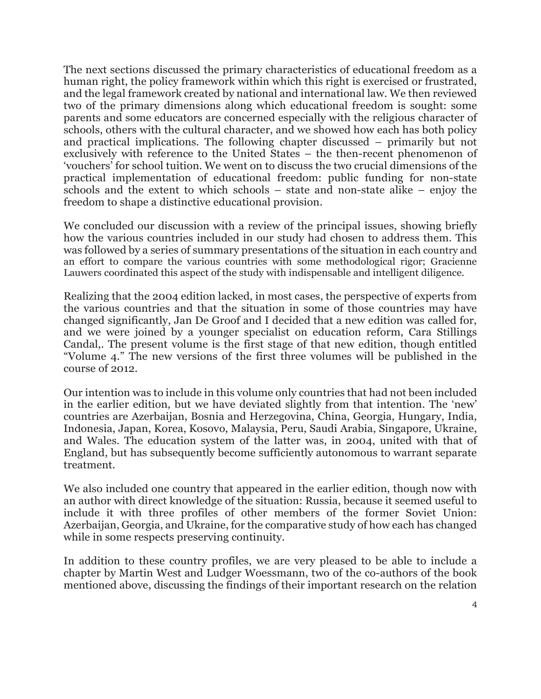The next sections discussed the primary characteristics of educational freedom as a human right, the policy framework within which this right is exercised or frustrated, and the legal framework created by national and international law. We then reviewed two of the primary dimensions along which educational freedom is sought: some parents and some educators are concerned especially with the religious character of schools, others with the cultural character, and we showed how each has both policy and practical implications. The following chapter discussed – primarily but not exclusively with reference to the United States – the then-recent phenomenon of 'vouchers' for school tuition. We went on to discuss the two crucial dimensions of the practical implementation of educational freedom: public funding for non-state schools and the extent to which schools – state and non-state alike – enjoy the freedom to shape a distinctive educational provision.

We concluded our discussion with a review of the principal issues, showing briefly how the various countries included in our study had chosen to address them. This was followed by a series of summary presentations of the situation in each country and an effort to compare the various countries with some methodological rigor; Gracienne Lauwers coordinated this aspect of the study with indispensable and intelligent diligence.

Realizing that the 2004 edition lacked, in most cases, the perspective of experts from the various countries and that the situation in some of those countries may have changed significantly, Jan De Groof and I decided that a new edition was called for, and we were joined by a younger specialist on education reform, Cara Stillings Candal,. The present volume is the first stage of that new edition, though entitled "Volume 4." The new versions of the first three volumes will be published in the course of 2012.

Our intention was to include in this volume only countries that had not been included in the earlier edition, but we have deviated slightly from that intention. The 'new' countries are Azerbaijan, Bosnia and Herzegovina, China, Georgia, Hungary, India, Indonesia, Japan, Korea, Kosovo, Malaysia, Peru, Saudi Arabia, Singapore, Ukraine, and Wales. The education system of the latter was, in 2004, united with that of England, but has subsequently become sufficiently autonomous to warrant separate treatment.

We also included one country that appeared in the earlier edition, though now with an author with direct knowledge of the situation: Russia, because it seemed useful to include it with three profiles of other members of the former Soviet Union: Azerbaijan, Georgia, and Ukraine, for the comparative study of how each has changed while in some respects preserving continuity.

In addition to these country profiles, we are very pleased to be able to include a chapter by Martin West and Ludger Woessmann, two of the co-authors of the book mentioned above, discussing the findings of their important research on the relation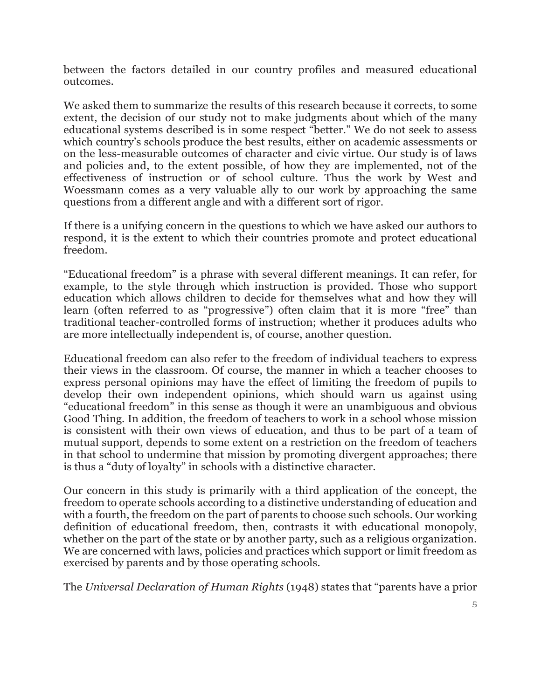between the factors detailed in our country profiles and measured educational outcomes.

We asked them to summarize the results of this research because it corrects, to some extent, the decision of our study not to make judgments about which of the many educational systems described is in some respect "better." We do not seek to assess which country's schools produce the best results, either on academic assessments or on the less-measurable outcomes of character and civic virtue. Our study is of laws and policies and, to the extent possible, of how they are implemented, not of the effectiveness of instruction or of school culture. Thus the work by West and Woessmann comes as a very valuable ally to our work by approaching the same questions from a different angle and with a different sort of rigor.

If there is a unifying concern in the questions to which we have asked our authors to respond, it is the extent to which their countries promote and protect educational freedom.

"Educational freedom" is a phrase with several different meanings. It can refer, for example, to the style through which instruction is provided. Those who support education which allows children to decide for themselves what and how they will learn (often referred to as "progressive") often claim that it is more "free" than traditional teacher-controlled forms of instruction; whether it produces adults who are more intellectually independent is, of course, another question.

Educational freedom can also refer to the freedom of individual teachers to express their views in the classroom. Of course, the manner in which a teacher chooses to express personal opinions may have the effect of limiting the freedom of pupils to develop their own independent opinions, which should warn us against using "educational freedom" in this sense as though it were an unambiguous and obvious Good Thing. In addition, the freedom of teachers to work in a school whose mission is consistent with their own views of education, and thus to be part of a team of mutual support, depends to some extent on a restriction on the freedom of teachers in that school to undermine that mission by promoting divergent approaches; there is thus a "duty of loyalty" in schools with a distinctive character.

Our concern in this study is primarily with a third application of the concept, the freedom to operate schools according to a distinctive understanding of education and with a fourth, the freedom on the part of parents to choose such schools. Our working definition of educational freedom, then, contrasts it with educational monopoly, whether on the part of the state or by another party, such as a religious organization. We are concerned with laws, policies and practices which support or limit freedom as exercised by parents and by those operating schools.

The *Universal Declaration of Human Rights* (1948) states that "parents have a prior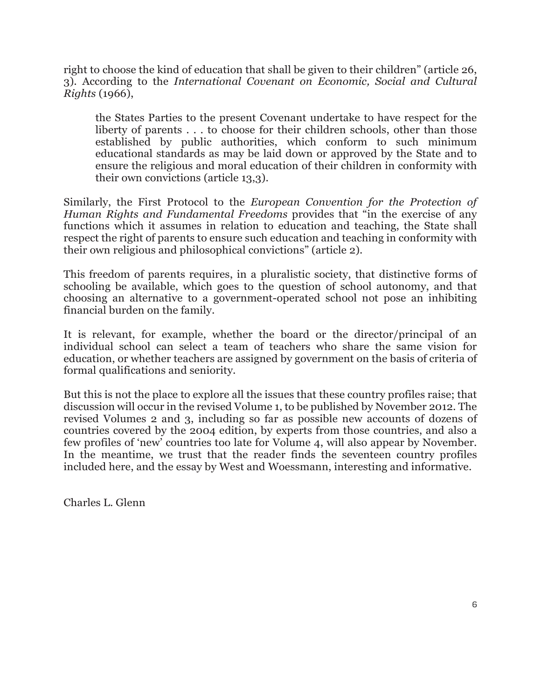right to choose the kind of education that shall be given to their children" (article 26, 3). According to the *International Covenant on Economic, Social and Cultural Rights* (1966),

the States Parties to the present Covenant undertake to have respect for the liberty of parents . . . to choose for their children schools, other than those established by public authorities, which conform to such minimum educational standards as may be laid down or approved by the State and to ensure the religious and moral education of their children in conformity with their own convictions (article 13,3).

Similarly, the First Protocol to the *European Convention for the Protection of Human Rights and Fundamental Freedoms* provides that "in the exercise of any functions which it assumes in relation to education and teaching, the State shall respect the right of parents to ensure such education and teaching in conformity with their own religious and philosophical convictions" (article 2).

This freedom of parents requires, in a pluralistic society, that distinctive forms of schooling be available, which goes to the question of school autonomy, and that choosing an alternative to a government-operated school not pose an inhibiting financial burden on the family.

It is relevant, for example, whether the board or the director/principal of an individual school can select a team of teachers who share the same vision for education, or whether teachers are assigned by government on the basis of criteria of formal qualifications and seniority.

But this is not the place to explore all the issues that these country profiles raise; that discussion will occur in the revised Volume 1, to be published by November 2012. The revised Volumes 2 and 3, including so far as possible new accounts of dozens of countries covered by the 2004 edition, by experts from those countries, and also a few profiles of 'new' countries too late for Volume 4, will also appear by November. In the meantime, we trust that the reader finds the seventeen country profiles included here, and the essay by West and Woessmann, interesting and informative.

Charles L. Glenn